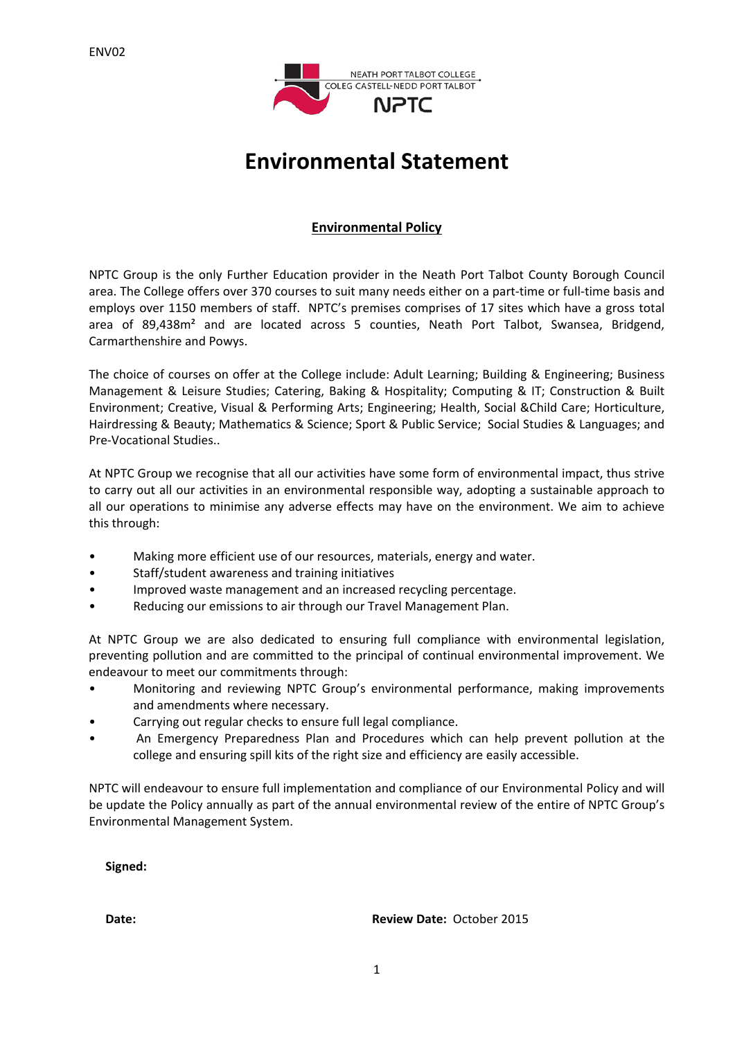

# **Environmental Statement**

## **Environmental Policy**

NPTC Group is the only Further Education provider in the Neath Port Talbot County Borough Council area. The College offers over 370 courses to suit many needs either on a part-time or full-time basis and employs over 1150 members of staff. NPTC's premises comprises of 17 sites which have a gross total area of 89,438m² and are located across 5 counties, Neath Port Talbot, Swansea, Bridgend, Carmarthenshire and Powys.

The choice of courses on offer at the College include: Adult Learning; Building & Engineering; Business Management & Leisure Studies; Catering, Baking & Hospitality; Computing & IT; Construction & Built Environment; Creative, Visual & Performing Arts; Engineering; Health, Social &Child Care; Horticulture, Hairdressing & Beauty; Mathematics & Science; Sport & Public Service; Social Studies & Languages; and Pre‐Vocational Studies..

At NPTC Group we recognise that all our activities have some form of environmental impact, thus strive to carry out all our activities in an environmental responsible way, adopting a sustainable approach to all our operations to minimise any adverse effects may have on the environment. We aim to achieve this through:

- Making more efficient use of our resources, materials, energy and water.
- Staff/student awareness and training initiatives
- Improved waste management and an increased recycling percentage.
- Reducing our emissions to air through our Travel Management Plan.

At NPTC Group we are also dedicated to ensuring full compliance with environmental legislation, preventing pollution and are committed to the principal of continual environmental improvement. We endeavour to meet our commitments through:

- Monitoring and reviewing NPTC Group's environmental performance, making improvements and amendments where necessary.
- Carrying out regular checks to ensure full legal compliance.
- An Emergency Preparedness Plan and Procedures which can help prevent pollution at the college and ensuring spill kits of the right size and efficiency are easily accessible.

NPTC will endeavour to ensure full implementation and compliance of our Environmental Policy and will be update the Policy annually as part of the annual environmental review of the entire of NPTC Group's Environmental Management System.

**Signed:**

**Date: Review Date:** October 2015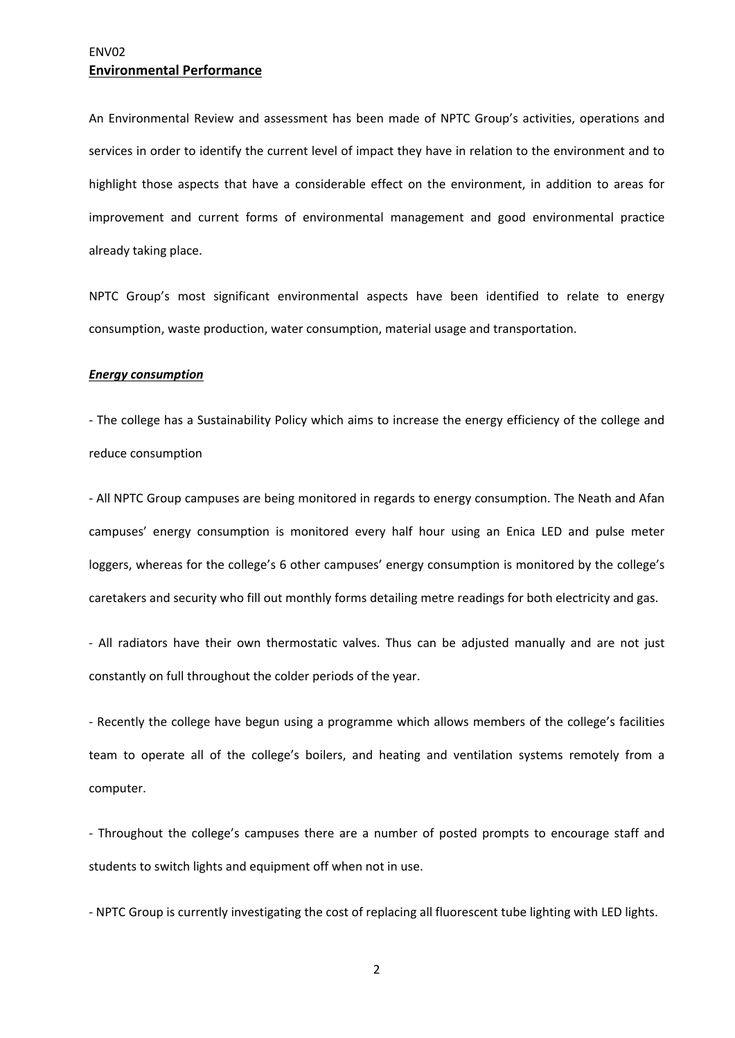An Environmental Review and assessment has been made of NPTC Group's activities, operations and services in order to identify the current level of impact they have in relation to the environment and to highlight those aspects that have a considerable effect on the environment, in addition to areas for improvement and current forms of environmental management and good environmental practice already taking place.

NPTC Group's most significant environmental aspects have been identified to relate to energy consumption, waste production, water consumption, material usage and transportation.

#### *Energy consumption*

‐ The college has a Sustainability Policy which aims to increase the energy efficiency of the college and reduce consumption

‐ All NPTC Group campuses are being monitored in regards to energy consumption. The Neath and Afan campuses' energy consumption is monitored every half hour using an Enica LED and pulse meter loggers, whereas for the college's 6 other campuses' energy consumption is monitored by the college's caretakers and security who fill out monthly forms detailing metre readings for both electricity and gas.

‐ All radiators have their own thermostatic valves. Thus can be adjusted manually and are not just constantly on full throughout the colder periods of the year.

‐ Recently the college have begun using a programme which allows members of the college's facilities team to operate all of the college's boilers, and heating and ventilation systems remotely from a computer.

‐ Throughout the college's campuses there are a number of posted prompts to encourage staff and students to switch lights and equipment off when not in use.

‐ NPTC Group is currently investigating the cost of replacing all fluorescent tube lighting with LED lights.

2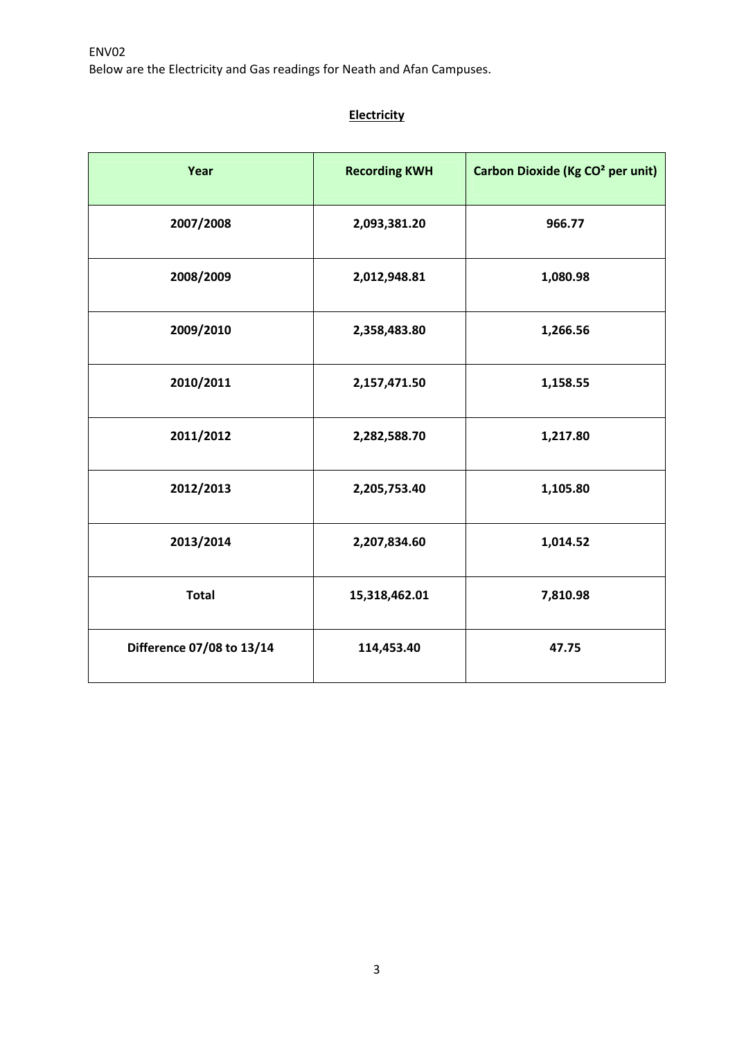Below are the Electricity and Gas readings for Neath and Afan Campuses.

## **Electricity**

| Year                      | <b>Recording KWH</b> | Carbon Dioxide (Kg CO <sup>2</sup> per unit) |
|---------------------------|----------------------|----------------------------------------------|
| 2007/2008                 | 2,093,381.20         | 966.77                                       |
| 2008/2009                 | 2,012,948.81         | 1,080.98                                     |
| 2009/2010                 | 2,358,483.80         | 1,266.56                                     |
| 2010/2011                 | 2,157,471.50         | 1,158.55                                     |
| 2011/2012                 | 2,282,588.70         | 1,217.80                                     |
| 2012/2013                 | 2,205,753.40         | 1,105.80                                     |
| 2013/2014                 | 2,207,834.60         | 1,014.52                                     |
| <b>Total</b>              | 15,318,462.01        | 7,810.98                                     |
| Difference 07/08 to 13/14 | 114,453.40           | 47.75                                        |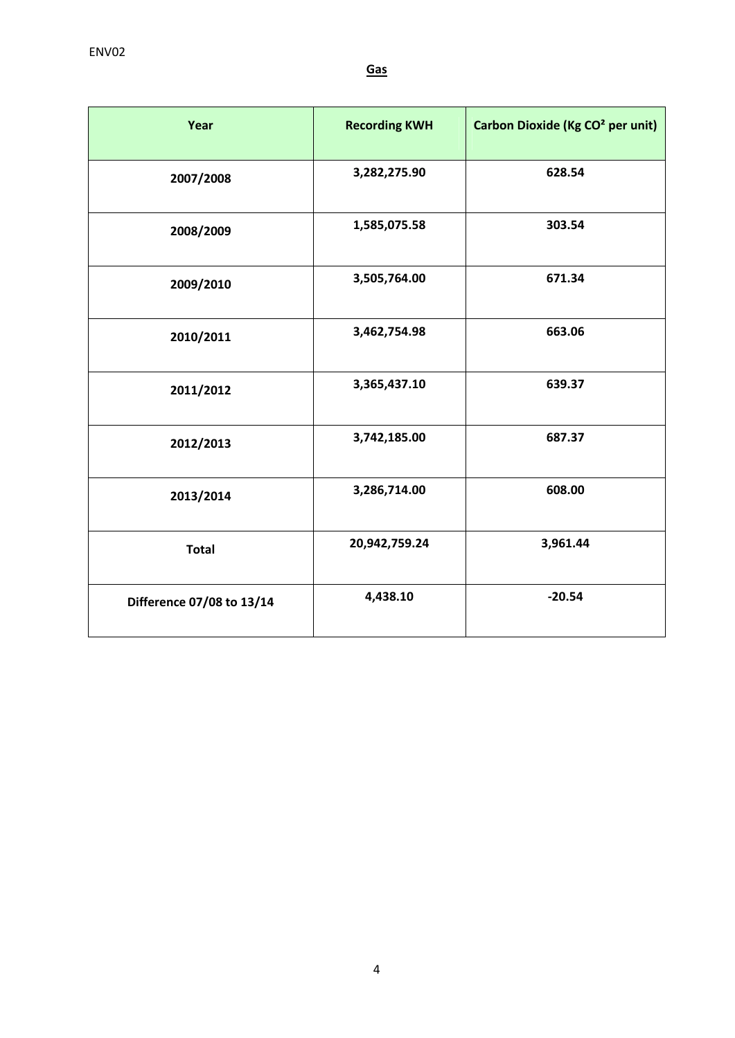| Year                      | <b>Recording KWH</b> | Carbon Dioxide (Kg CO <sup>2</sup> per unit) |
|---------------------------|----------------------|----------------------------------------------|
| 2007/2008                 | 3,282,275.90         | 628.54                                       |
| 2008/2009                 | 1,585,075.58         | 303.54                                       |
| 2009/2010                 | 3,505,764.00         | 671.34                                       |
| 2010/2011                 | 3,462,754.98         | 663.06                                       |
| 2011/2012                 | 3,365,437.10         | 639.37                                       |
| 2012/2013                 | 3,742,185.00         | 687.37                                       |
| 2013/2014                 | 3,286,714.00         | 608.00                                       |
| <b>Total</b>              | 20,942,759.24        | 3,961.44                                     |
| Difference 07/08 to 13/14 | 4,438.10             | $-20.54$                                     |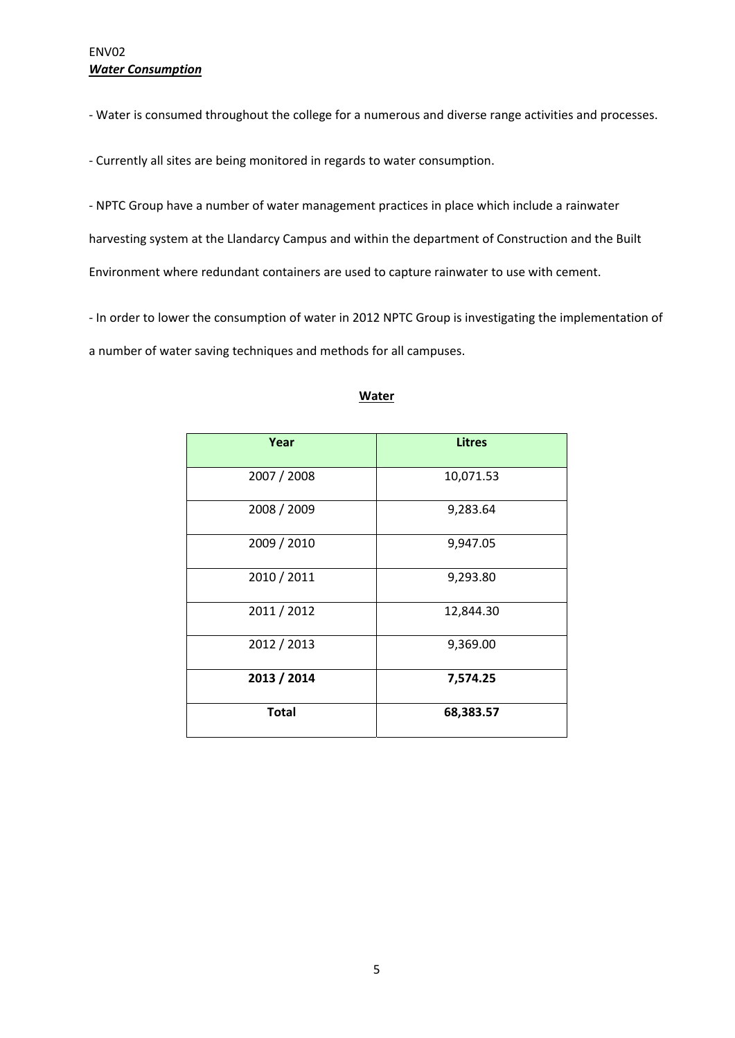‐ Water is consumed throughout the college for a numerous and diverse range activities and processes.

‐ Currently all sites are being monitored in regards to water consumption.

‐ NPTC Group have a number of water management practices in place which include a rainwater harvesting system at the Llandarcy Campus and within the department of Construction and the Built Environment where redundant containers are used to capture rainwater to use with cement.

‐ In order to lower the consumption of water in 2012 NPTC Group is investigating the implementation of a number of water saving techniques and methods for all campuses.

| Year         | <b>Litres</b> |
|--------------|---------------|
|              |               |
| 2007 / 2008  | 10,071.53     |
|              |               |
| 2008 / 2009  | 9,283.64      |
| 2009 / 2010  | 9,947.05      |
|              |               |
| 2010 / 2011  | 9,293.80      |
| 2011 / 2012  | 12,844.30     |
| 2012 / 2013  | 9,369.00      |
| 2013 / 2014  | 7,574.25      |
| <b>Total</b> | 68,383.57     |

#### **Water**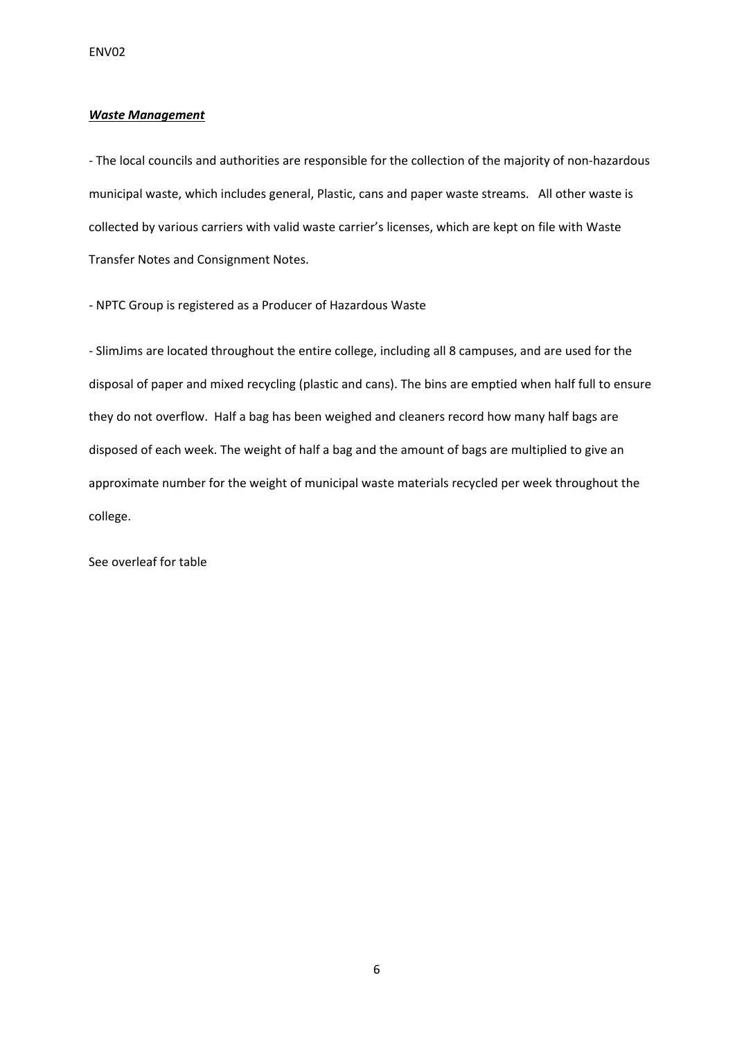#### *Waste Management*

‐ The local councils and authorities are responsible for the collection of the majority of non‐hazardous municipal waste, which includes general, Plastic, cans and paper waste streams. All other waste is collected by various carriers with valid waste carrier's licenses, which are kept on file with Waste Transfer Notes and Consignment Notes.

‐ NPTC Group is registered as a Producer of Hazardous Waste

‐ SlimJims are located throughout the entire college, including all 8 campuses, and are used for the disposal of paper and mixed recycling (plastic and cans). The bins are emptied when half full to ensure they do not overflow. Half a bag has been weighed and cleaners record how many half bags are disposed of each week. The weight of half a bag and the amount of bags are multiplied to give an approximate number for the weight of municipal waste materials recycled per week throughout the college.

See overleaf for table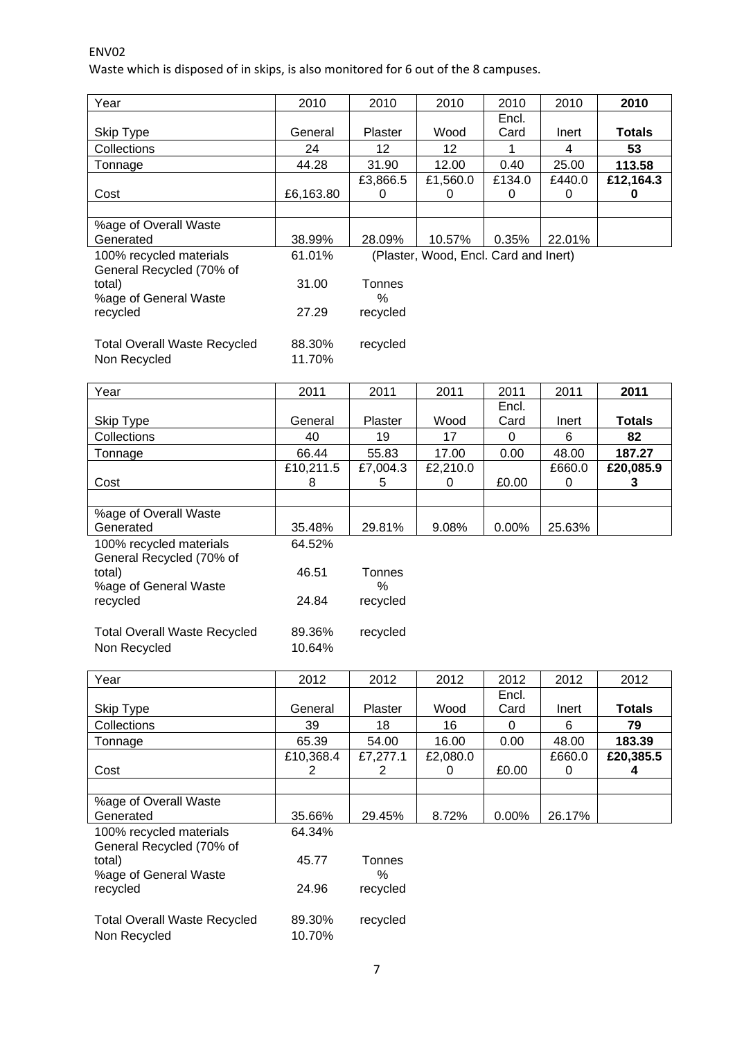## ENV02

Waste which is disposed of in skips, is also monitored for 6 out of the 8 campuses.

| Year                                                | 2010      | 2010           | 2010                                  | 2010        | 2010        | 2010           |
|-----------------------------------------------------|-----------|----------------|---------------------------------------|-------------|-------------|----------------|
|                                                     |           |                |                                       | Encl.       |             |                |
| Skip Type                                           | General   | Plaster        | Wood                                  | Card        | Inert       | <b>Totals</b>  |
| Collections                                         | 24        | 12             | 12                                    |             | 4           | 53             |
| Tonnage                                             | 44.28     | 31.90          | 12.00                                 | 0.40        | 25.00       | 113.58         |
| Cost                                                | £6,163.80 | £3,866.5<br>0  | £1,560.0<br>0                         | £134.0<br>0 | £440.0<br>0 | £12,164.3<br>0 |
|                                                     |           |                |                                       |             |             |                |
| %age of Overall Waste<br>Generated                  | 38.99%    | 28.09%         | 10.57%                                | 0.35%       | 22.01%      |                |
| 100% recycled materials<br>General Recycled (70% of | 61.01%    |                | (Plaster, Wood, Encl. Card and Inert) |             |             |                |
| total)<br>%age of General Waste                     | 31.00     | Tonnes<br>$\%$ |                                       |             |             |                |
| recycled                                            | 27.29     | recycled       |                                       |             |             |                |
| <b>Total Overall Waste Recycled</b>                 | 88.30%    | recycled       |                                       |             |             |                |
| Non Recycled                                        | 11.70%    |                |                                       |             |             |                |

| Year                                                | 2011             | 2011           | 2011     | 2011     | 2011   | 2011      |
|-----------------------------------------------------|------------------|----------------|----------|----------|--------|-----------|
|                                                     |                  |                |          | Encl.    |        |           |
| Skip Type                                           | General          | <b>Plaster</b> | Wood     | Card     | Inert  | Totals    |
| Collections                                         | 40               | 19             | 17       | 0        | 6      | 82        |
| Tonnage                                             | 66.44            | 55.83          | 17.00    | 0.00     | 48.00  | 187.27    |
|                                                     | £10,211.5        | £7,004.3       | £2,210.0 |          | £660.0 | £20,085.9 |
| Cost                                                | 8                | 5              | 0        | £0.00    | 0      | 3         |
|                                                     |                  |                |          |          |        |           |
| %age of Overall Waste                               |                  |                |          |          |        |           |
| Generated                                           | 35.48%           | 29.81%         | 9.08%    | $0.00\%$ | 25.63% |           |
| 100% recycled materials<br>General Recycled (70% of | 64.52%           |                |          |          |        |           |
| total)<br>%age of General Waste                     | 46.51            | Tonnes<br>%    |          |          |        |           |
| recycled                                            | 24.84            | recycled       |          |          |        |           |
| <b>Total Overall Waste Recycled</b><br>Non Recycled | 89.36%<br>10.64% | recycled       |          |          |        |           |

| Year                                                | 2012      | 2012           | 2012     | 2012     | 2012   | 2012      |
|-----------------------------------------------------|-----------|----------------|----------|----------|--------|-----------|
|                                                     |           |                |          | Encl.    |        |           |
| Skip Type                                           | General   | <b>Plaster</b> | Wood     | Card     | Inert  | Totals    |
| Collections                                         | 39        | 18             | 16       | 0        | 6      | 79        |
| Tonnage                                             | 65.39     | 54.00          | 16.00    | 0.00     | 48.00  | 183.39    |
|                                                     | £10,368.4 | £7,277.1       | £2,080.0 |          | £660.0 | £20,385.5 |
| Cost                                                | 2         | 2              | 0        | £0.00    | 0      | 4         |
|                                                     |           |                |          |          |        |           |
| %age of Overall Waste                               |           |                |          |          |        |           |
| Generated                                           | 35.66%    | 29.45%         | 8.72%    | $0.00\%$ | 26.17% |           |
| 100% recycled materials<br>General Recycled (70% of | 64.34%    |                |          |          |        |           |
| total)                                              | 45.77     | Tonnes         |          |          |        |           |
| %age of General Waste                               |           | ℅              |          |          |        |           |
| recycled                                            | 24.96     | recycled       |          |          |        |           |
|                                                     |           |                |          |          |        |           |
| <b>Total Overall Waste Recycled</b>                 | 89.30%    | recycled       |          |          |        |           |
| Non Recycled                                        | 10.70%    |                |          |          |        |           |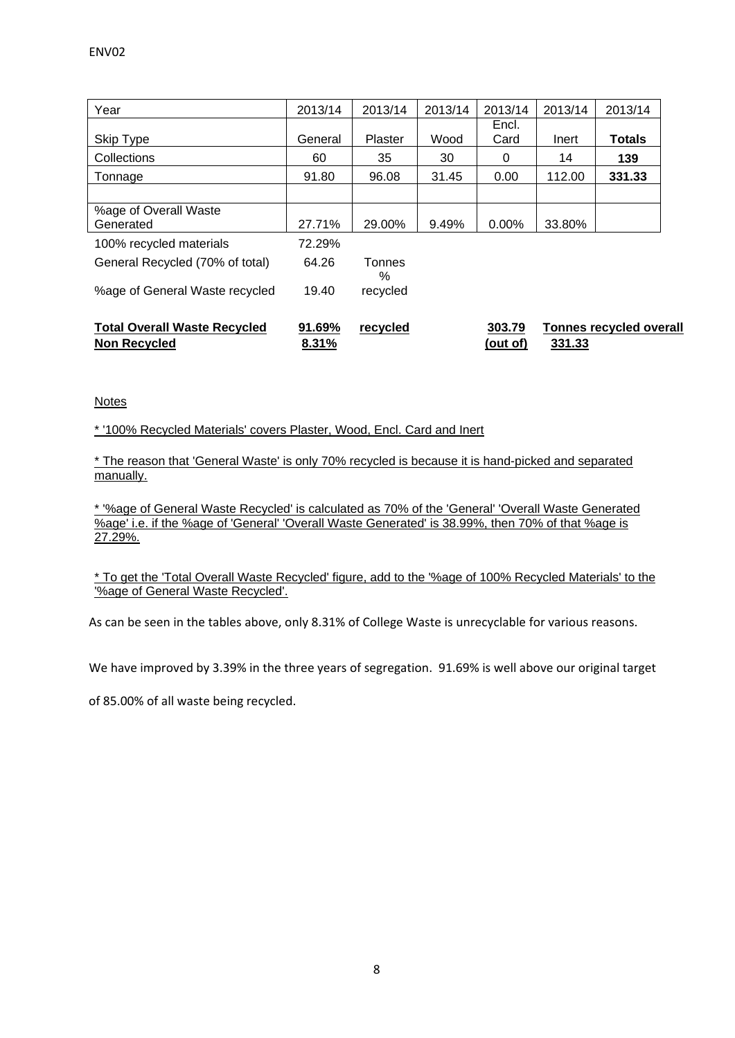| Year                                                       | 2013/14         | 2013/14        | 2013/14 | 2013/14            | 2013/14 | 2013/14                        |
|------------------------------------------------------------|-----------------|----------------|---------|--------------------|---------|--------------------------------|
| <b>Skip Type</b>                                           | General         | <b>Plaster</b> | Wood    | Encl.<br>Card      | Inert   | <b>Totals</b>                  |
| Collections                                                | 60              | 35             | 30      | 0                  | 14      | 139                            |
| Tonnage                                                    | 91.80           | 96.08          | 31.45   | 0.00               | 112.00  | 331.33                         |
|                                                            |                 |                |         |                    |         |                                |
| %age of Overall Waste<br>Generated                         | 27.71%          | 29.00%         | 9.49%   | $0.00\%$           | 33.80%  |                                |
| 100% recycled materials                                    | 72.29%          |                |         |                    |         |                                |
| General Recycled (70% of total)                            | 64.26           | Tonnes<br>%    |         |                    |         |                                |
| %age of General Waste recycled                             | 19.40           | recycled       |         |                    |         |                                |
| <b>Total Overall Waste Recycled</b><br><b>Non Recycled</b> | 91.69%<br>8.31% | recycled       |         | 303.79<br>(out of) | 331.33  | <b>Tonnes recycled overall</b> |

#### Notes

\* '100% Recycled Materials' covers Plaster, Wood, Encl. Card and Inert

\* The reason that 'General Waste' is only 70% recycled is because it is hand-picked and separated manually.

\* '%age of General Waste Recycled' is calculated as 70% of the 'General' 'Overall Waste Generated %age' i.e. if the %age of 'General' 'Overall Waste Generated' is 38.99%, then 70% of that %age is 27.29%.

\* To get the 'Total Overall Waste Recycled' figure, add to the '%age of 100% Recycled Materials' to the '%age of General Waste Recycled'.

As can be seen in the tables above, only 8.31% of College Waste is unrecyclable for various reasons.

We have improved by 3.39% in the three years of segregation. 91.69% is well above our original target

of 85.00% of all waste being recycled.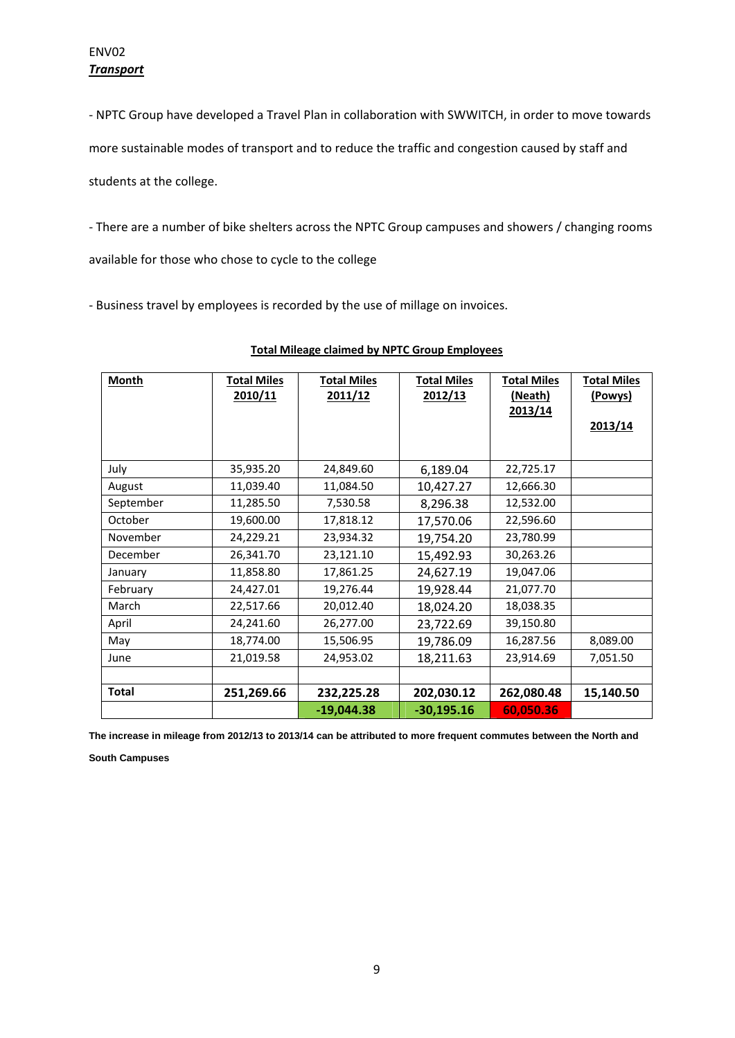‐ NPTC Group have developed a Travel Plan in collaboration with SWWITCH, in order to move towards

more sustainable modes of transport and to reduce the traffic and congestion caused by staff and

students at the college.

‐ There are a number of bike shelters across the NPTC Group campuses and showers / changing rooms

available for those who chose to cycle to the college

‐ Business travel by employees is recorded by the use of millage on invoices.

| Month        | <b>Total Miles</b><br>2010/11 | <b>Total Miles</b><br>2011/12 | <b>Total Miles</b><br>2012/13 | <b>Total Miles</b><br>(Neath)<br>2013/14 | <b>Total Miles</b><br>(Powys)<br>2013/14 |
|--------------|-------------------------------|-------------------------------|-------------------------------|------------------------------------------|------------------------------------------|
| July         | 35,935.20                     | 24,849.60                     | 6,189.04                      | 22,725.17                                |                                          |
| August       | 11,039.40                     | 11,084.50                     | 10,427.27                     | 12,666.30                                |                                          |
| September    | 11,285.50                     | 7,530.58                      | 8,296.38                      | 12,532.00                                |                                          |
| October      | 19,600.00                     | 17,818.12                     | 17,570.06                     | 22,596.60                                |                                          |
| November     | 24,229.21                     | 23,934.32                     | 19,754.20                     | 23,780.99                                |                                          |
| December     | 26,341.70                     | 23,121.10                     | 15,492.93                     | 30,263.26                                |                                          |
| January      | 11,858.80                     | 17,861.25                     | 24,627.19                     | 19,047.06                                |                                          |
| February     | 24,427.01                     | 19,276.44                     | 19,928.44                     | 21,077.70                                |                                          |
| March        | 22,517.66                     | 20,012.40                     | 18,024.20                     | 18,038.35                                |                                          |
| April        | 24,241.60                     | 26,277.00                     | 23,722.69                     | 39,150.80                                |                                          |
| May          | 18,774.00                     | 15,506.95                     | 19,786.09                     | 16,287.56                                | 8,089.00                                 |
| June         | 21,019.58                     | 24,953.02                     | 18,211.63                     | 23,914.69                                | 7,051.50                                 |
|              |                               |                               |                               |                                          |                                          |
| <b>Total</b> | 251,269.66                    | 232,225.28                    | 202,030.12                    | 262,080.48                               | 15,140.50                                |
|              |                               | $-19,044.38$                  | $-30,195.16$                  | 60,050.36                                |                                          |

### **Total Mileage claimed by NPTC Group Employees**

**The increase in mileage from 2012/13 to 2013/14 can be attributed to more frequent commutes between the North and** 

**South Campuses**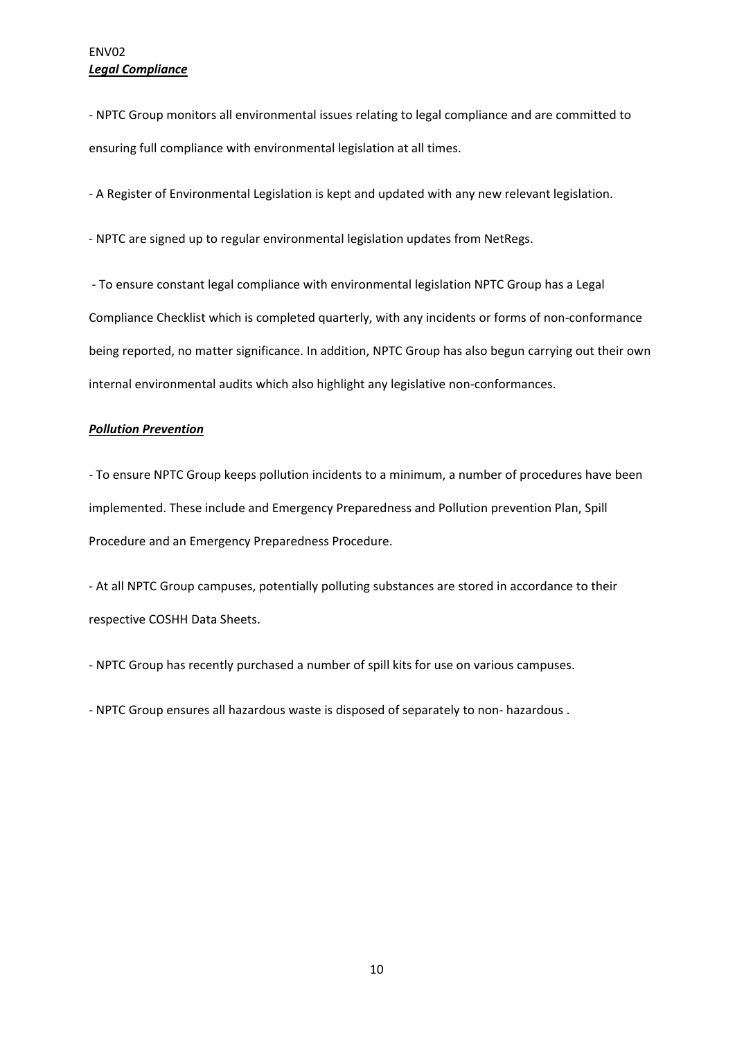## ENV02 *Legal Compliance*

‐ NPTC Group monitors all environmental issues relating to legal compliance and are committed to ensuring full compliance with environmental legislation at all times.

‐ A Register of Environmental Legislation is kept and updated with any new relevant legislation.

‐ NPTC are signed up to regular environmental legislation updates from NetRegs.

 ‐ To ensure constant legal compliance with environmental legislation NPTC Group has a Legal Compliance Checklist which is completed quarterly, with any incidents or forms of non‐conformance being reported, no matter significance. In addition, NPTC Group has also begun carrying out their own internal environmental audits which also highlight any legislative non-conformances.

### *Pollution Prevention*

‐ To ensure NPTC Group keeps pollution incidents to a minimum, a number of procedures have been implemented. These include and Emergency Preparedness and Pollution prevention Plan, Spill Procedure and an Emergency Preparedness Procedure.

‐ At all NPTC Group campuses, potentially polluting substances are stored in accordance to their respective COSHH Data Sheets.

‐ NPTC Group has recently purchased a number of spill kits for use on various campuses.

‐ NPTC Group ensures all hazardous waste is disposed of separately to non‐ hazardous .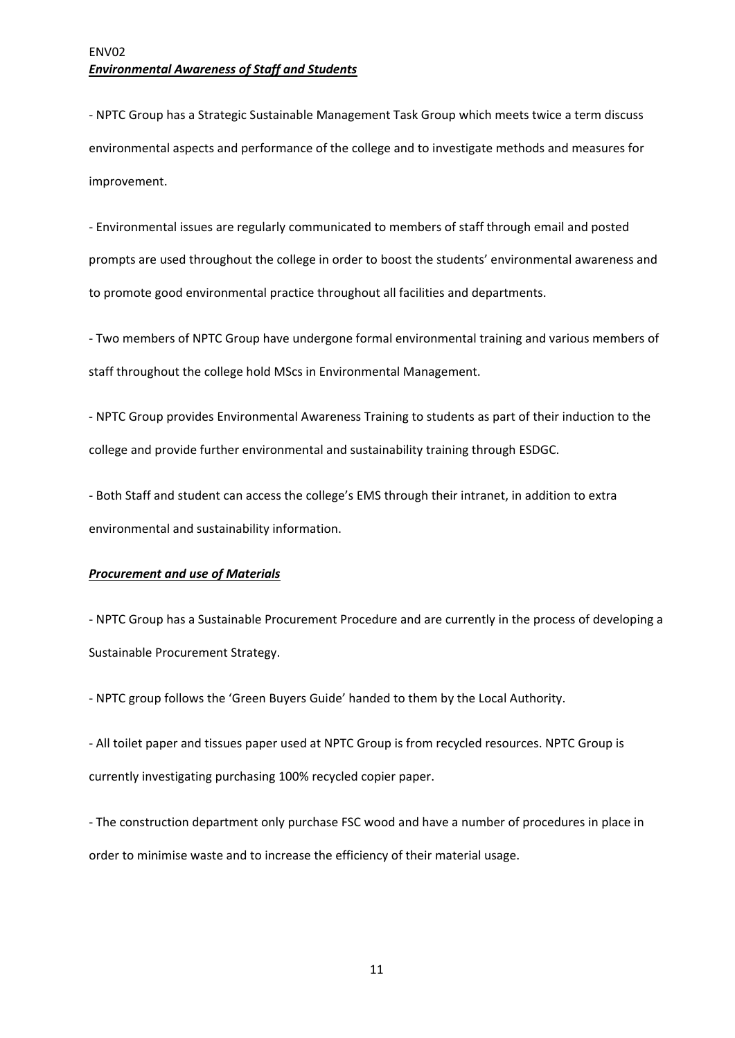‐ NPTC Group has a Strategic Sustainable Management Task Group which meets twice a term discuss environmental aspects and performance of the college and to investigate methods and measures for improvement.

‐ Environmental issues are regularly communicated to members of staff through email and posted prompts are used throughout the college in order to boost the students' environmental awareness and to promote good environmental practice throughout all facilities and departments.

‐ Two members of NPTC Group have undergone formal environmental training and various members of staff throughout the college hold MScs in Environmental Management.

‐ NPTC Group provides Environmental Awareness Training to students as part of their induction to the college and provide further environmental and sustainability training through ESDGC.

‐ Both Staff and student can access the college's EMS through their intranet, in addition to extra environmental and sustainability information.

#### *Procurement and use of Materials*

‐ NPTC Group has a Sustainable Procurement Procedure and are currently in the process of developing a Sustainable Procurement Strategy.

‐ NPTC group follows the 'Green Buyers Guide' handed to them by the Local Authority.

‐ All toilet paper and tissues paper used at NPTC Group is from recycled resources. NPTC Group is currently investigating purchasing 100% recycled copier paper.

‐ The construction department only purchase FSC wood and have a number of procedures in place in order to minimise waste and to increase the efficiency of their material usage.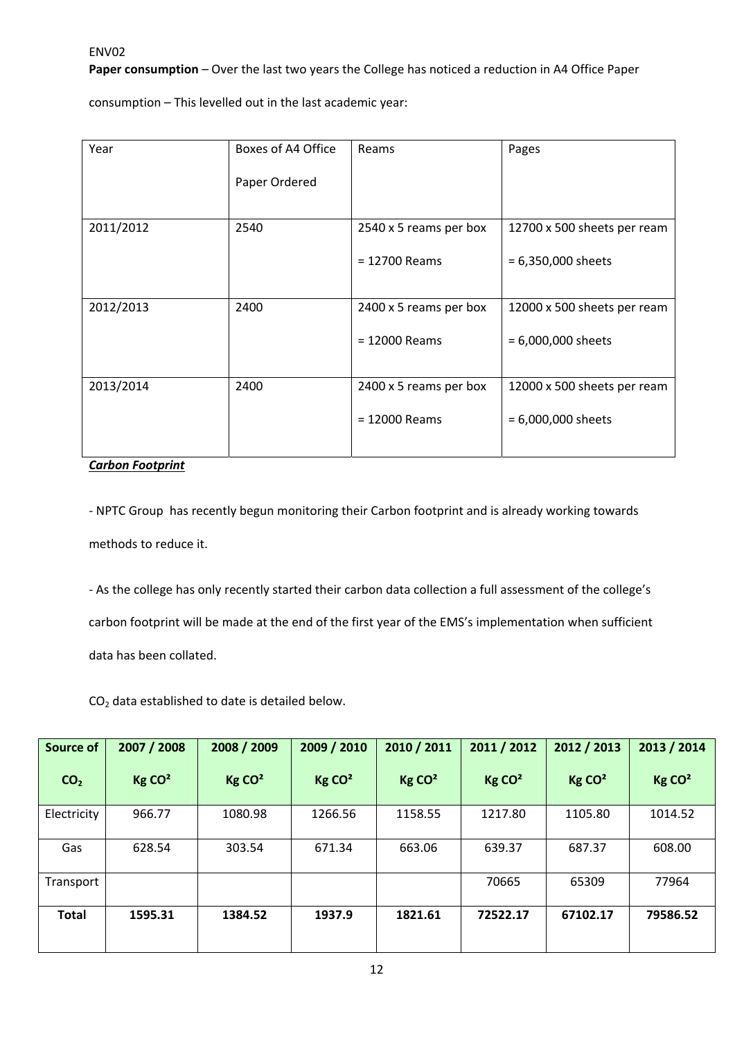**Paper consumption** – Over the last two years the College has noticed a reduction in A4 Office Paper

consumption – This levelled out in the last academic year:

| Year      | Boxes of A4 Office | Reams                  | Pages                       |
|-----------|--------------------|------------------------|-----------------------------|
|           | Paper Ordered      |                        |                             |
| 2011/2012 | 2540               | 2540 x 5 reams per box | 12700 x 500 sheets per ream |
|           |                    | $= 12700$ Reams        | $= 6,350,000$ sheets        |
| 2012/2013 | 2400               | 2400 x 5 reams per box | 12000 x 500 sheets per ream |
|           |                    | $= 12000$ Reams        | $= 6,000,000$ sheets        |
| 2013/2014 | 2400               | 2400 x 5 reams per box | 12000 x 500 sheets per ream |
|           |                    | $= 12000$ Reams        | $= 6,000,000$ sheets        |

*Carbon Footprint*

‐ NPTC Group has recently begun monitoring their Carbon footprint and is already working towards methods to reduce it.

‐ As the college has only recently started their carbon data collection a full assessment of the college's carbon footprint will be made at the end of the first year of the EMS's implementation when sufficient data has been collated.

CO2 data established to date is detailed below.

| <b>Source of</b> | 2007 / 2008        | 2008 / 2009        | 2009 / 2010        | 2010 / 2011        | 2011 / 2012        | 2012 / 2013        | 2013 / 2014        |
|------------------|--------------------|--------------------|--------------------|--------------------|--------------------|--------------------|--------------------|
| CO <sub>2</sub>  | Kg CO <sup>2</sup> | Kg CO <sup>2</sup> | Kg CO <sup>2</sup> | Kg CO <sup>2</sup> | Kg CO <sup>2</sup> | Kg CO <sup>2</sup> | Kg CO <sup>2</sup> |
| Electricity      | 966.77             | 1080.98            | 1266.56            | 1158.55            | 1217.80            | 1105.80            | 1014.52            |
| Gas              | 628.54             | 303.54             | 671.34             | 663.06             | 639.37             | 687.37             | 608.00             |
| Transport        |                    |                    |                    |                    | 70665              | 65309              | 77964              |
| <b>Total</b>     | 1595.31            | 1384.52            | 1937.9             | 1821.61            | 72522.17           | 67102.17           | 79586.52           |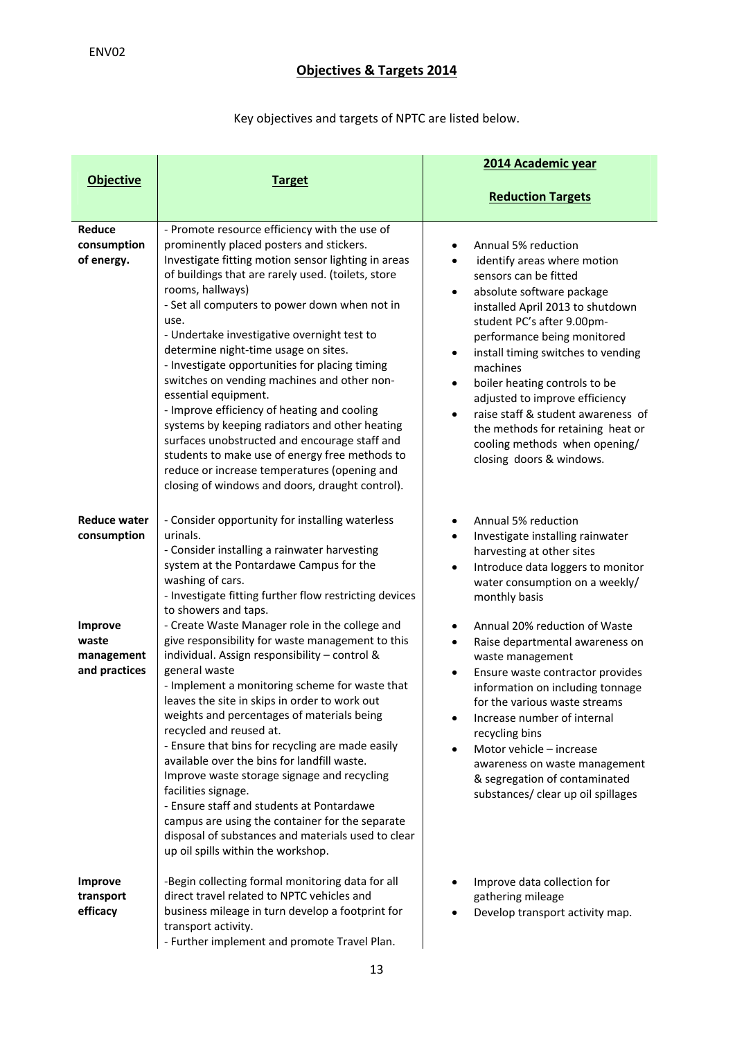# **Objectives & Targets 2014**

# Key objectives and targets of NPTC are listed below.

|                                                                                              |                                                                                                                                                                                                                                                                                                                                                                                                                                                                                                                                                                                                                                                                                                                                                                                                                                                                                                                                                                                       | 2014 Academic year                                                                                                                                                                                                                                                                                                                                                                                                                                                                                                                                                                                                                                            |
|----------------------------------------------------------------------------------------------|---------------------------------------------------------------------------------------------------------------------------------------------------------------------------------------------------------------------------------------------------------------------------------------------------------------------------------------------------------------------------------------------------------------------------------------------------------------------------------------------------------------------------------------------------------------------------------------------------------------------------------------------------------------------------------------------------------------------------------------------------------------------------------------------------------------------------------------------------------------------------------------------------------------------------------------------------------------------------------------|---------------------------------------------------------------------------------------------------------------------------------------------------------------------------------------------------------------------------------------------------------------------------------------------------------------------------------------------------------------------------------------------------------------------------------------------------------------------------------------------------------------------------------------------------------------------------------------------------------------------------------------------------------------|
| <b>Objective</b>                                                                             | <b>Target</b>                                                                                                                                                                                                                                                                                                                                                                                                                                                                                                                                                                                                                                                                                                                                                                                                                                                                                                                                                                         | <b>Reduction Targets</b>                                                                                                                                                                                                                                                                                                                                                                                                                                                                                                                                                                                                                                      |
| Reduce<br>consumption<br>of energy.                                                          | - Promote resource efficiency with the use of<br>prominently placed posters and stickers.<br>Investigate fitting motion sensor lighting in areas<br>of buildings that are rarely used. (toilets, store<br>rooms, hallways)<br>- Set all computers to power down when not in<br>use.<br>- Undertake investigative overnight test to<br>determine night-time usage on sites.<br>- Investigate opportunities for placing timing<br>switches on vending machines and other non-<br>essential equipment.<br>- Improve efficiency of heating and cooling<br>systems by keeping radiators and other heating<br>surfaces unobstructed and encourage staff and<br>students to make use of energy free methods to<br>reduce or increase temperatures (opening and<br>closing of windows and doors, draught control).                                                                                                                                                                            | Annual 5% reduction<br>$\bullet$<br>identify areas where motion<br>$\bullet$<br>sensors can be fitted<br>absolute software package<br>$\bullet$<br>installed April 2013 to shutdown<br>student PC's after 9.00pm-<br>performance being monitored<br>install timing switches to vending<br>٠<br>machines<br>boiler heating controls to be<br>٠<br>adjusted to improve efficiency<br>raise staff & student awareness of<br>$\bullet$<br>the methods for retaining heat or<br>cooling methods when opening/<br>closing doors & windows.                                                                                                                          |
| <b>Reduce water</b><br>consumption<br><b>Improve</b><br>waste<br>management<br>and practices | - Consider opportunity for installing waterless<br>urinals.<br>- Consider installing a rainwater harvesting<br>system at the Pontardawe Campus for the<br>washing of cars.<br>- Investigate fitting further flow restricting devices<br>to showers and taps.<br>- Create Waste Manager role in the college and<br>give responsibility for waste management to this<br>individual. Assign responsibility - control &<br>general waste<br>- Implement a monitoring scheme for waste that<br>leaves the site in skips in order to work out<br>weights and percentages of materials being<br>recycled and reused at.<br>- Ensure that bins for recycling are made easily<br>available over the bins for landfill waste.<br>Improve waste storage signage and recycling<br>facilities signage.<br>- Ensure staff and students at Pontardawe<br>campus are using the container for the separate<br>disposal of substances and materials used to clear<br>up oil spills within the workshop. | Annual 5% reduction<br>$\bullet$<br>Investigate installing rainwater<br>$\bullet$<br>harvesting at other sites<br>Introduce data loggers to monitor<br>$\bullet$<br>water consumption on a weekly/<br>monthly basis<br>Annual 20% reduction of Waste<br>$\bullet$<br>Raise departmental awareness on<br>$\bullet$<br>waste management<br>Ensure waste contractor provides<br>$\bullet$<br>information on including tonnage<br>for the various waste streams<br>Increase number of internal<br>recycling bins<br>Motor vehicle - increase<br>$\bullet$<br>awareness on waste management<br>& segregation of contaminated<br>substances/ clear up oil spillages |
| <b>Improve</b><br>transport<br>efficacy                                                      | -Begin collecting formal monitoring data for all<br>direct travel related to NPTC vehicles and<br>business mileage in turn develop a footprint for<br>transport activity.<br>- Further implement and promote Travel Plan.                                                                                                                                                                                                                                                                                                                                                                                                                                                                                                                                                                                                                                                                                                                                                             | Improve data collection for<br>gathering mileage<br>Develop transport activity map.                                                                                                                                                                                                                                                                                                                                                                                                                                                                                                                                                                           |